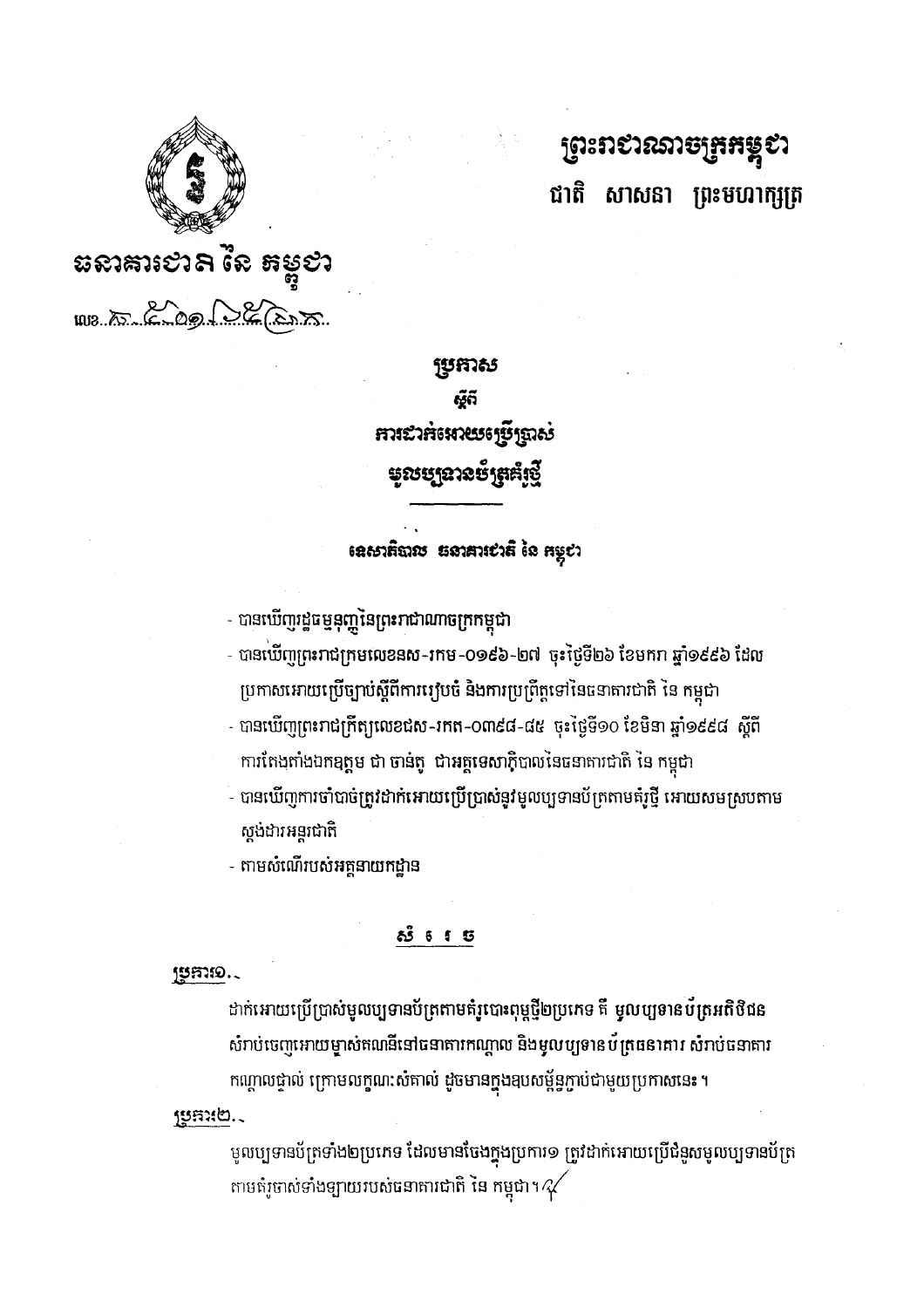មូលប្បទានប័ត្រទាំង២ប្រភេទ ដែលមានចែងក្នុងប្រការ១ ត្រូវដាក់អោយប្រើជំនួសមូលប្បទានប័ត្រ តាមតំរូចាស់ទាំងឡាយរបស់ធនាគារជាតិ នៃ កម្ពុជា។ $\mathscr{A}$ 

ដាក់អោយប្រើប្រាស់មូលប្បទានប័ត្រតាមតំរូបោះពុម្ភថ្មី២ប្រភេទ គឺ មូលប្បទានប័ត្រអតិថិជន សំរាប់ចេញអោយម្ចាស់តណនីនៅធនាតារកណ្តាល និងមូលប្បទានប័ត្រធនាគារ សំរាប់ធនាគារ កណ្តាលថ្នាល់ ក្រោមលក្ខណៈសំគាល់ ដូចមានក្នុងឧបសម្ព័ន្ធភ្ជាប់ជាមួយប្រកាសនេះ ។

# **ಕ್ರೀ 5**

JUSTIO.

sento.

- តាមសំណើរបស់អត្តនាយកដ្ឋាន

- បានឃើញការចាំបាច់ត្រូវដាក់អោយប្រើប្រាស់នូវមូលប្បទានប័ត្រតាមគំរូថ្មី អោយសមស្របតាម ស្តង់ដារអន្តរជាតិ

- បានឃើញព្រះរាជក្រឹត្យលេខជុស-រកត-O៣៩៨-៨៥ ចុះថ្ងៃទី១០ ខែមិនា ឆ្នាំ១៩៩៨ ស្តីពី ការតែងតាំងឯកឧត្តម ជា ចាន់តូ ជាអគ្គទេសាភិបាលនៃធនាគារជាតិ នៃ កម្ពុជា
- ប្រកាសអោយប្រើច្បាប់ស្តីពីការប្បបចំ និងការប្រព្រឹត្តទៅនៃធនាតារជាតិ នៃ កម្ពុជា
- បានឃើញរដ្ឋធម្មនុញ្ញនៃព្រះរាជាណាចក្រកម្ពុជា - បានឃើញព្រះរាជក្រុមលេខនស-រកម-០១៩៦-២៧ ចុះថ្ងៃទី២៦ ខែមករា ឆ្នាំ១៩៩៦ ដែល

# ខេសាតិបាល Eទាគារសតិ នៃ កម្ពុស

**ប្រកាស** <u>୍ୱେ</u>ର୍ **การะาลจะหายระรรัฐ**กลง **មូលប្បនានប័**ត្រគំស្ទើ



1018.15 200 00 200 21

**ព្រះ**ពសរសេកម្មងងន្តស ជាតិ សាសនា ព្រះមហាក្សត្រ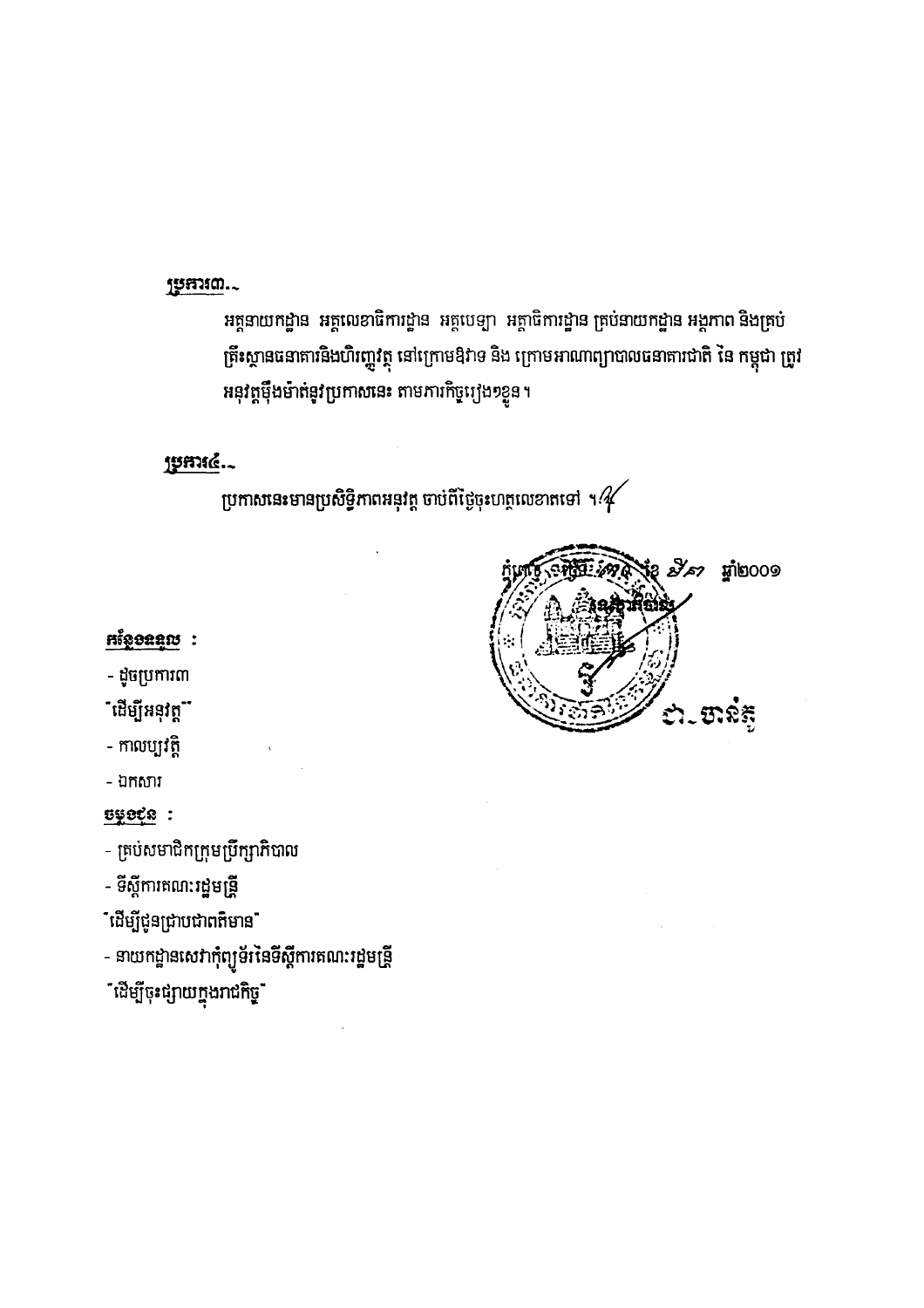# ម្រុកអណ..

អគ្គនាយកដ្ឋាន អគ្គលេខាធិការដ្ឋាន អគ្គបេទ្យា អគ្គាធិការដ្ឋាន គ្រប់នាយកដ្ឋាន អង្គភាព និងគ្រប់ ត្រឹះស្ថានធនាតាវនិងហិរញ្ហវត្ថុ នៅក្រោមឱវាទ និង ក្រោមអាណាព្យាបាលធនាតារជាតិ នៃ កម្ពុជា ត្រូវ អនុវត្តម៉ឹងម៉ាត់នូវប្រកាសនេះ តាមភារកិច្ចរ្យង១ខ្លួន។

### jymić.

ប្រកាសនេះមានប្រសិទ្ធិភាពអនុវត្ត ចាប់ពីថ្ងៃចុះហត្ថលេខាតទៅ ។ $\mathscr{U}$ 



# **Higoaan:**

- ដូចប្រការ៣

<sup>"</sup>ដើម្បីអនុវត្ត"

- កាលប្បវត្តិ

- ឯកសារ

<u> Uyoçr</u> :

- គ្រប់សមាជិកក្រុមប្រឹក្សាភិបាល

- ទីស្តីការគណ<mark>ៈរដ្ឋ</mark>មន្ត្រី

ិដើម្បីជូនជ្រាបជា<mark>ពត៌</mark>មាន<sup>"</sup>

- នាយកដ្ឋានសេវាកុំព្យូទ័រនៃទីស្តីការគណៈរដ្ឋមន្ត្រី

ឺដើម្បីចុះផ្សាយក្នុងរ<mark>ា</mark>ជកិច្ច**ឺ**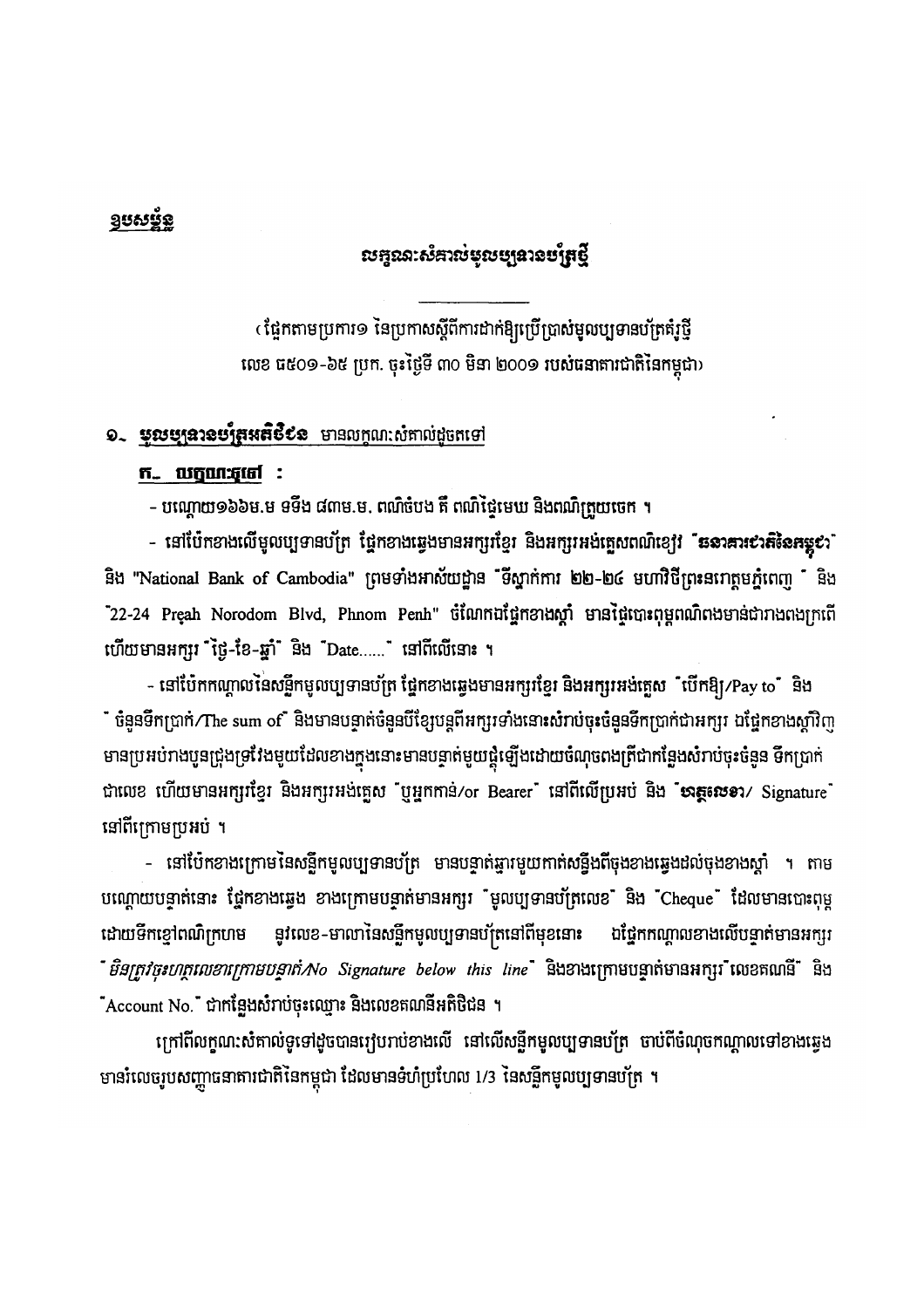## <u>១បសម្ព័ន្</u>

# លក្ខណៈសំគាល់មូលប្បូ**នានប**ត្រែថ្មី

(ផ្អែកតាមប្រការ១ នៃប្រកាសស្តីពីការដាក់ឱ្យប្រើប្រាស់មូលប្បទានបត្រតំរូថ្មី លេខ ធ៥០១-៦៥ ប្រក. ចុះថ្ងៃទី ៣០ មិនា ២០០១ របស់ធនាគារជាតិនៃកម្ពុជា)

## ១. មុលប្បនរនប្បំគួរនេីថិបន មានលក្ខណ:សំគាល់ដូចតទៅ

#### ក.. លក្ខណៈភុថៅ :

– បណ្តោយ១៦៦ម.ម ទទឹង ៨៣ម.ម. ពណ៌ចំបង គឺ ពណ៌ថ្ងៃមេឃ និងពណ៌ិត្រួយចេក ។

- នៅប៉ែកខាងលើមូលប្បទានបក្រ ផ្នែកខាងឆ្វេងមានអក្សរខ្មែរ និងអក្សរអង់ត្អេសពណ៌ខ្យៅ "**ននាគារ៩រតិនៃគម្លុ**ះ" និង "National Bank of Cambodia" ព្រមទាំងអាស័យដ្ឋាន "ទីស្នាក់ការ ២២-២៤ មហាវិថីព្រះនរោត្តមភ្នំពេញ " និង "22-24 Preah Norodom Blvd, Phnom Penh" ចំណែកឯផ្នែកខាងស្តាំ មានផ្ទៃបោះពុម្ពពណ៌ពងមាន់ជារាងពងក្រពើ ហើយមានអក្សរ ម៉ៃ្ង-ខែ-ឆ្នាំ និង Date......" នៅពីលើនោះ ។

- នៅប៉ែកកណ្តាលនៃសន្លឹកមូលប្បទានប័ត្រ ថ្នៃកខាងឆ្វេងមានអក្សរខ្មែរ និងអក្សរអង់គ្លេស ឺបើកឱ្យ/Pay to ឺ និង ឺ ចំនួនទឹកប្រាក់/The sum ofឺ និងមានបន្ទាត់ចំនួនបីខ្សែបន្តពីអក្សរទាំងនោះសំរាប់ចុះចំនួនទឹកប្រាក់ជាអក្សរ ឯផ្នែកខាងស្តាំវិញ មានប្រអប់រាងបូនជ្រុងទ្រវែងមួយដែលខាងក្នុងនោះមានបន្ទាត់មួយផ្គុំឡើងដោយចំណុចពងត្រីជាកន្លែងសំរាប់ចុះចំនួន ទឹកប្រាក់ ជាលេខ ហើយមានអក្សរខ្មែរ និងអក្សរអង់គ្លេស "ឬអ្នកកាន់/or Bearer" នៅពីលើប្រអប់ និង "មាត្តសេខា/ Signature" នៅពីក្រោមប្រអប់ ។

– នៅប៉ែកខាងក្រោមនៃសន្លឹកមូលប្បទានប័ត្រ មានបន្ទាត់ឆ្មារមួយកាត់សន្នឹងពីចុងខាងឆ្វេងដល់ចុងខាងស្តាំ ។ តាម បណ្តោយបន្ទាត់នោះ ថ្នៃកខាងឆ្វេង ខាងក្រោមបន្ទាត់មានអក្សរ "មូលប្បទានប័ត្រលេខ" និង "Cheque" ដែលមានបោះពុម្ភ នូវលេខ-មាលានៃសន្លឹកមូលប្បទានប័ក្រនៅពីមុខនោះ ដោយទឹកខ្មៅពណ៌ក្រហម ឯផ្នែកកណ្តាលខាងលើបទ្វាត់មានអក្សរ ឺ *មិនត្រូវចុះហត្ថលេខាក្រោមបន្ទាត់/No Signature below this line*໋ និងខាងក្រោមបន្ទាត់មានអក្សរឺ លេខតណនី៎ និង "Account No." ជាកន្លែងសំរាប់ចុះឈ្មោះ និងលេខតណនីអតិថិជន ។

ក្រៅពីលក្ខណ:សំគាល់ទូទៅដូចបានរៀបរាប់ខាងលើ នៅលើសន្លឹកមូលប្បទានបត្រ ចាប់ពីចំណុចកណ្តាលទៅខាងឆ្វេង មានរំលេចរូបសញ្ញាធនាគារជាតិនៃកម្ពុជា ដែលមានទំហំប្រហែល 1/3 នៃសន្លឹកមូលប្បទានបត្រ ។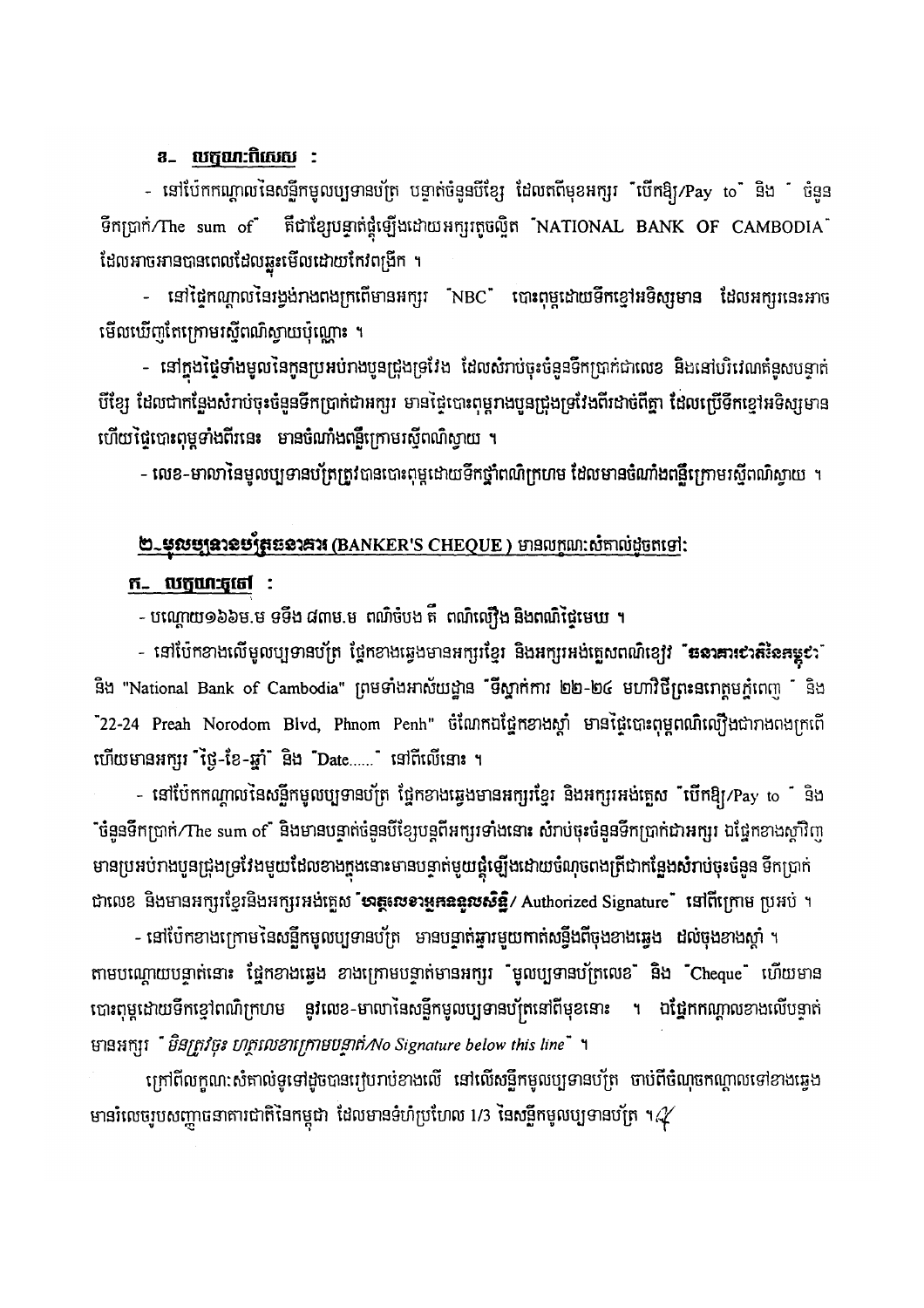### **8. លក្ខណៈពិសេស :**

- នៅប៉ែកកណ្តាលនៃសន្លឹកមូលប្បទានបត្រ បន្ទាត់ចំនួនបីខ្សែ ដែលតពីមុខអក្សរ លើកឱ្យ/Pay to និង ថំនួន ទឹកប្រាក់/The sum of ពីជាខ្សែបន្ទាត់ផ្គុំឡើងដោយអក្សរតូចល្អិត NATIONAL BANK OF CAMBODIA  $\tilde{ }$ ដែលអាចអានបានពេលដែលឆ្លុះមើលដោយកែវពង្រីក ។

- នៅផ្ទៃកណ្តាលនៃរង្វង់រាងពងក្រពើមានអក្សរ "NBC" បោះពុម្ភដោយទឹកខ្មៅអទិស្សមាន ដែលអក្សរនេះអាច មើលឃើញតែក្រោមរស្មីពណ៌ស្វាយប៉ុណ្ណោះ ។

- នៅក្នុងថ្ងៃទាំងមូលនៃកូនប្រអប់រាងបួនជ្រុងទ្រវែង ដែលសំរាប់ចុះចំនួនទឹកប្រាក់ជាលេខ និងនៅបរិវេណតំនូសបន្ទាត់ បីខ្សែ ដែលជាកន្លែងសំរាប់ចុះចំនួនទឹកប្រាក់ជាអក្សរ មានថ្នៃបោះពុម្ពរាងបួនជ្រុងទ្រវែងពីរដាច់ពីគ្នា ដែលប្រើទឹកខ្មៅអទិស្សមាន ហើយផ្ទៃបោះពុម្ពទាំងពីរនេះ មានចំណាំងពន្លឺក្រោមរស៊ីពណ៌ស្វាយ ។

- លេខ-មាលានៃមូលប្បទានបត្រែត្រូវបានបោះពុម្ភដោយទឹកថ្នាំពណ៌ក្រហម ដែលមានចំណាំងពន្លឺក្រោមរស្មីពណ៌ស្វាយ ។

# ២-មុលប្បន្នាន្តបន្តិដូចនាគារ (BANKER'S CHEQUE) មានល្បណៈសំគាល់ដូចតទៅ:

### ក. លក្ខណៈឆ្នូទៅ :

- បណ្តោយ១៦៦ម.ម ទទឹង ៨៣ម.ម ពណិចំបង គឺ ពណិល្យឿង និងពណិជ្ជៃមេឃ ។

- នៅប៉ែកខាងលើមូលប្បទានប័ត្រ ថ្នែកខាងឆ្វេងមានអក្សរខ្មែរ និង<mark>អ</mark>ក្សរអង់គ្លេសពណ៌ខ្យ<mark>ើវ "ឆនរគារ¢រតិ</mark>ខៃ<mark>គម្លុ¢</mark>ះ" និង "National Bank of Cambodia" ព្រមទាំងអាស័យដ្ឋាន ទីស្នាក់ការ ២២-២៤ មហាវិថីព្រះនរោត្តមភ្នំពេញ និង "22-24 Preah Norodom Blvd, Phnom Penh" ចំណែកឯផ្នែកខាងស្តាំ មានផ្ទៃបោះពុម្ពពណ៌ល្បើងជារាងពងក្រពើ ហើយមានអក្សរ ស្វ៊្រ-ខែ-ឆ្នាំ និង Date......" នៅពីលើនោះ ។

- នៅប៉ែកកណ្តាលនៃសន្លឹកមូលប្បទានប័ត្រ ផ្នែកខាងឆ្វេងមានអក្សរខ្មែរ និងអក្សរអង់គ្លេស "បើកឱ្យ/Pay to " និង ៉ចំនួនទឹកប្រាក់/The sum of និងមានបន្ទាត់ចំនួនបីខ្សែបន្តពីអក្សរទាំងនោះ សំរាប់ចុះចំនួនទឹកប្រាក់ជាអក្សរ ឯជ្នែកខាងស្តាំវិញ មានប្រអប់រាងបួនជ្រុងទ្រវែងមួយដែលខាងក្នុងនោះមានបន្ទាត់មួយផ្គុំឡើងដោយចំណុចពងត្រីជាកន្លែងសំរាប់ចុះចំនួន ទឹកប្រាក់ ជាលេខ និងមានអក្សរខ្មែរនិងអក្សរអង់គ្លេស **សេត្តសេខរមួ<del>កឧ</del>ទួលសិន្ឋិ**/ Authorized Signature ី នៅពីក្រោម ប្រអប់ ។

- នៅប៉ែកខាងក្រោមនៃសន្លឹកមូលប្បទានប័ត្រ មានបន្ទាត់ឆ្នារមួយកាត់សន្ធឹងពីចុងខាងឆ្វេង ដល់ចុងខាងស្តាំ ។ តាមបណ្តោយបន្ទាត់នោះ ផ្នែកខាងឆ្វេង ខាងក្រោមបន្ទាត់មានអក្សរ "មូលប្បទានប័ត្រលេខ" និង "Cheque" ហើយមាន បោះពុម្ពដោយទឹកខ្មៅពណ៌ក្រហម នូវលេខ-មាលានៃសន្លឹកមូលប្បទានប័ត្រនៅពីមុខនោះ ។ ឯថ្នែកកណ្តាលខាងលើបទ្ទាត់ មានអក្សរ  $\tilde{B}$ និវត្តវិចុះ ហត្ថលេខាក្រោមបន្ទាត់ $N$ o Signature below this line" ។

ក្រៅពីលក្ខណ:សំគាល់ទូទៅដូចបានក្មេហរាប់ខាងលើ នៅលើសន្លឹកមូលប្បទានបត្រ ចាប់ពីចំណុចកណ្តាលទៅខាងឆ្វេង មានរំលេចរូបសញ្ញាធនាគារជាតិនៃកម្ពុជា ដែលមានទំហំប្រហែល 1/3 នៃសន្លឹកមូលប្បទានបត្រ ។ $\mathscr{A}$